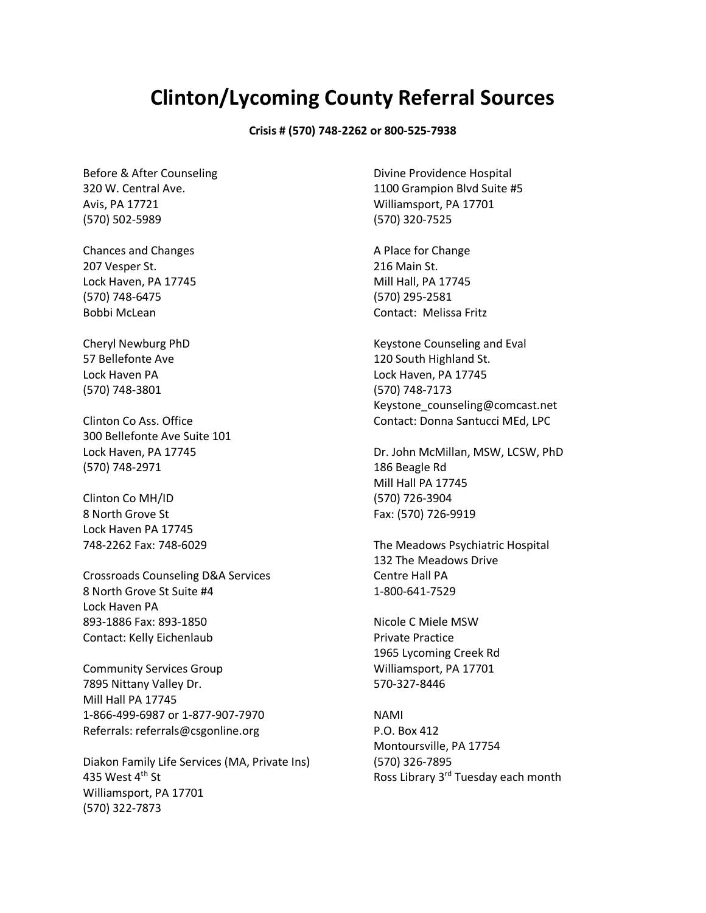## **Clinton/Lycoming County Referral Sources**

## **Crisis # (570) 748-2262 or 800-525-7938**

Before & After Counseling 320 W. Central Ave. Avis, PA 17721 (570) 502-5989

Chances and Changes 207 Vesper St. Lock Haven, PA 17745 (570) 748-6475 Bobbi McLean

Cheryl Newburg PhD 57 Bellefonte Ave Lock Haven PA (570) 748-3801

Clinton Co Ass. Office 300 Bellefonte Ave Suite 101 Lock Haven, PA 17745 (570) 748-2971

Clinton Co MH/ID 8 North Grove St Lock Haven PA 17745 748-2262 Fax: 748-6029

Crossroads Counseling D&A Services 8 North Grove St Suite #4 Lock Haven PA 893-1886 Fax: 893-1850 Contact: Kelly Eichenlaub

Community Services Group 7895 Nittany Valley Dr. Mill Hall PA 17745 1-866-499-6987 or 1-877-907-7970 Referrals: referrals@csgonline.org

Diakon Family Life Services (MA, Private Ins) 435 West  $4<sup>th</sup>$  St Williamsport, PA 17701 (570) 322-7873

Divine Providence Hospital 1100 Grampion Blvd Suite #5 Williamsport, PA 17701 (570) 320-7525

A Place for Change 216 Main St. Mill Hall, PA 17745 (570) 295-2581 Contact: Melissa Fritz

Keystone Counseling and Eval 120 South Highland St. Lock Haven, PA 17745 (570) 748-7173 Keystone\_counseling@comcast.net Contact: Donna Santucci MEd, LPC

Dr. John McMillan, MSW, LCSW, PhD 186 Beagle Rd Mill Hall PA 17745 (570) 726-3904 Fax: (570) 726-9919

The Meadows Psychiatric Hospital 132 The Meadows Drive Centre Hall PA 1-800-641-7529

Nicole C Miele MSW Private Practice 1965 Lycoming Creek Rd Williamsport, PA 17701 570-327-8446

NAMI P.O. Box 412 Montoursville, PA 17754 (570) 326-7895 Ross Library 3rd Tuesday each month